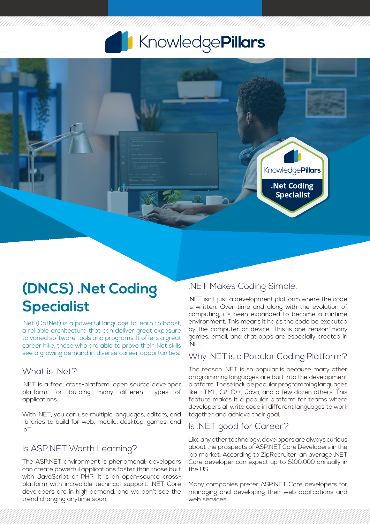# KnowledgePillars



## **(DNCS) .Net Coding Specialist**

.Net (DotNet) is a powerful language to learn to boast, a reliable architecture that can deliver great exposure to varied software tools and programs. It offers a great career hike, those who are able to prove their .Net skills see a growing demand in diverse career opportunities.

#### What is .Net?

.NET is a free, cross-platform, open source developer platform for building many different types of applications.

With .NET, you can use multiple languages, editors, and libraries to build for web, mobile, desktop, games, and IoT.

#### Is ASP.NET Worth Learning?

The ASP.NET environment is phenomenal; developers can create powerful applications faster than those built with JavaScript or PHP. It is an open-source crossplatform with incredible technical support. .NET Core developers are in high demand, and we don't see the trend changing anytime soon.

#### .NET Makes Coding Simple.

.NET isn't just a development platform where the code is written. Over time and along with the evolution of computing, it's been expanded to become a runtime environment. This means it helps the code be executed by the computer or device. This is one reason many games, email, and chat apps are especially created in .NET.

#### Why .NET is a Popular Coding Platform?

The reason .NET is so popular is because many other programming languages are built into the development platform. These include popular programming languages like HTML, C#, C++, Java, and a few dozen others. This feature makes it a popular platform for teams where developers all write code in different languages to work together and achieve their goal.

#### Is .NET good for Career?

Like any other technology, developers are always curious about the prospects of ASP.NET Core Developers in the job market. According to ZipRecruiter, an average .NET Core developer can expect up to \$100,000 annually in the US.

Many companies prefer ASP.NET Core developers for managing and developing their web applications and web services.